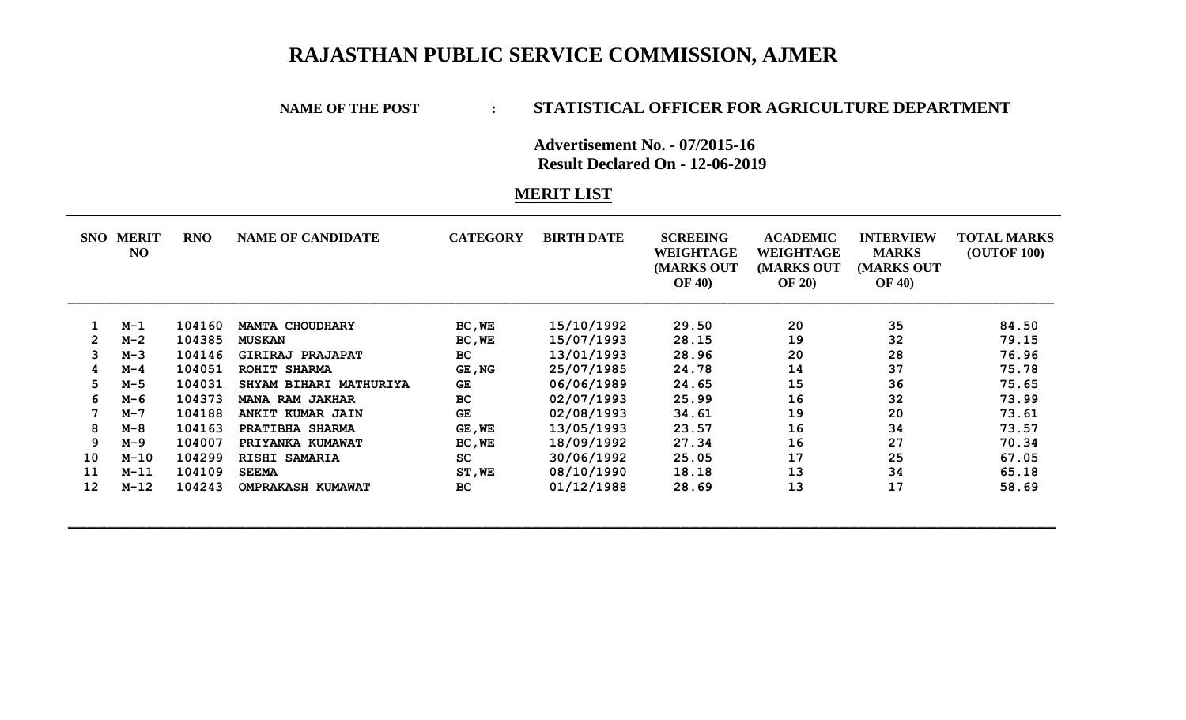## **RAJASTHAN PUBLIC SERVICE COMMISSION, AJMER**

## **NAME OF THE POST : STATISTICAL OFFICER FOR AGRICULTURE DEPARTMENT**

**Advertisement No. - 07/2015-16 Result Declared On - 12-06-2019**

## **MERIT LIST**

|                | <b>SNO MERIT</b><br>NO | <b>RNO</b> | <b>NAME OF CANDIDATE</b> | <b>CATEGORY</b> | <b>BIRTH DATE</b> | <b>SCREEING</b><br>WEIGHTAGE<br>(MARKS OUT<br><b>OF 40)</b> | <b>ACADEMIC</b><br>WEIGHTAGE<br><b>MARKS OUT</b><br><b>OF 20)</b> | <b>INTERVIEW</b><br><b>MARKS</b><br>(MARKS OUT<br><b>OF 40)</b> | <b>TOTAL MARKS</b><br><b>(OUTOF 100)</b> |
|----------------|------------------------|------------|--------------------------|-----------------|-------------------|-------------------------------------------------------------|-------------------------------------------------------------------|-----------------------------------------------------------------|------------------------------------------|
|                | $M-1$                  | 104160     | <b>MAMTA CHOUDHARY</b>   | BC, WE          | 15/10/1992        | 29.50                                                       | 20                                                                | 35                                                              | 84.50                                    |
| $\overline{2}$ | $M-2$                  | 104385     | <b>MUSKAN</b>            | BC, WE          | 15/07/1993        | 28.15                                                       | 19                                                                | 32                                                              | 79.15                                    |
| 3              | $M-3$                  | 104146     | GIRIRAJ PRAJAPAT         | <b>BC</b>       | 13/01/1993        | 28.96                                                       | 20                                                                | 28                                                              | 76.96                                    |
|                | $M-4$                  | 104051     | ROHIT SHARMA             | GE, NG          | 25/07/1985        | 24.78                                                       | 14                                                                | 37                                                              | 75.78                                    |
| 5              | $M-5$                  | 104031     | SHYAM BIHARI MATHURIYA   | GE              | 06/06/1989        | 24.65                                                       | 15                                                                | 36                                                              | 75.65                                    |
| 6              | м-6                    | 104373     | <b>MANA RAM JAKHAR</b>   | <b>BC</b>       | 02/07/1993        | 25.99                                                       | 16                                                                | 32                                                              | 73.99                                    |
| 7              | $M - 7$                | 104188     | ANKIT KUMAR JAIN         | <b>GE</b>       | 02/08/1993        | 34.61                                                       | 19                                                                | 20                                                              | 73.61                                    |
| 8              | M-8                    | 104163     | PRATIBHA SHARMA          | GE, WE          | 13/05/1993        | 23.57                                                       | 16                                                                | 34                                                              | 73.57                                    |
| 9              | M-9                    | 104007     | PRIYANKA KUMAWAT         | BC, WE          | 18/09/1992        | 27.34                                                       | 16                                                                | 27                                                              | 70.34                                    |
| 10             | $M-10$                 | 104299     | RISHI SAMARIA            | <b>SC</b>       | 30/06/1992        | 25.05                                                       | 17                                                                | 25                                                              | 67.05                                    |
| 11             | $M-11$                 | 104109     | <b>SEEMA</b>             | ST, WE          | 08/10/1990        | 18.18                                                       | 13                                                                | 34                                                              | 65.18                                    |
| 12             | $M-12$                 | 104243     | <b>OMPRAKASH KUMAWAT</b> | <b>BC</b>       | 01/12/1988        | 28.69                                                       | 13                                                                | 17                                                              | 58.69                                    |